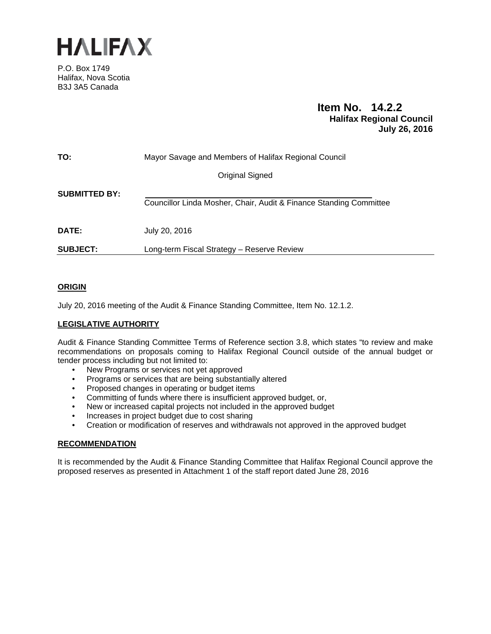

P.O. Box 1749 Halifax, Nova Scotia B3J 3A5 Canada

# **Item No. 14.2.2 Halifax Regional Council July 26, 2016**

| TO:                  | Mayor Savage and Members of Halifax Regional Council               |
|----------------------|--------------------------------------------------------------------|
|                      | Original Signed                                                    |
| <b>SUBMITTED BY:</b> | Councillor Linda Mosher, Chair, Audit & Finance Standing Committee |
| <b>DATE:</b>         | July 20, 2016                                                      |
| <b>SUBJECT:</b>      | Long-term Fiscal Strategy - Reserve Review                         |

## **ORIGIN**

July 20, 2016 meeting of the Audit & Finance Standing Committee, Item No. 12.1.2.

## **LEGISLATIVE AUTHORITY**

Audit & Finance Standing Committee Terms of Reference section 3.8, which states "to review and make recommendations on proposals coming to Halifax Regional Council outside of the annual budget or tender process including but not limited to:

- New Programs or services not yet approved
- Programs or services that are being substantially altered
- Proposed changes in operating or budget items
- Committing of funds where there is insufficient approved budget, or,
- New or increased capital projects not included in the approved budget
- Increases in project budget due to cost sharing
- Creation or modification of reserves and withdrawals not approved in the approved budget

### **RECOMMENDATION**

It is recommended by the Audit & Finance Standing Committee that Halifax Regional Council approve the proposed reserves as presented in Attachment 1 of the staff report dated June 28, 2016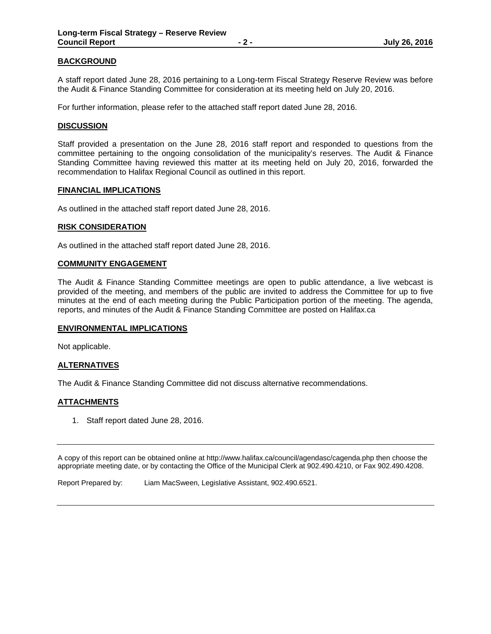### **BACKGROUND**

A staff report dated June 28, 2016 pertaining to a Long-term Fiscal Strategy Reserve Review was before the Audit & Finance Standing Committee for consideration at its meeting held on July 20, 2016.

For further information, please refer to the attached staff report dated June 28, 2016.

### **DISCUSSION**

Staff provided a presentation on the June 28, 2016 staff report and responded to questions from the committee pertaining to the ongoing consolidation of the municipality's reserves. The Audit & Finance Standing Committee having reviewed this matter at its meeting held on July 20, 2016, forwarded the recommendation to Halifax Regional Council as outlined in this report.

#### **FINANCIAL IMPLICATIONS**

As outlined in the attached staff report dated June 28, 2016.

#### **RISK CONSIDERATION**

As outlined in the attached staff report dated June 28, 2016.

#### **COMMUNITY ENGAGEMENT**

The Audit & Finance Standing Committee meetings are open to public attendance, a live webcast is provided of the meeting, and members of the public are invited to address the Committee for up to five minutes at the end of each meeting during the Public Participation portion of the meeting. The agenda, reports, and minutes of the Audit & Finance Standing Committee are posted on Halifax.ca

#### **ENVIRONMENTAL IMPLICATIONS**

Not applicable.

### **ALTERNATIVES**

The Audit & Finance Standing Committee did not discuss alternative recommendations.

#### **ATTACHMENTS**

1. Staff report dated June 28, 2016.

A copy of this report can be obtained online at http://www.halifax.ca/council/agendasc/cagenda.php then choose the appropriate meeting date, or by contacting the Office of the Municipal Clerk at 902.490.4210, or Fax 902.490.4208.

Report Prepared by: Liam MacSween, Legislative Assistant, 902.490.6521.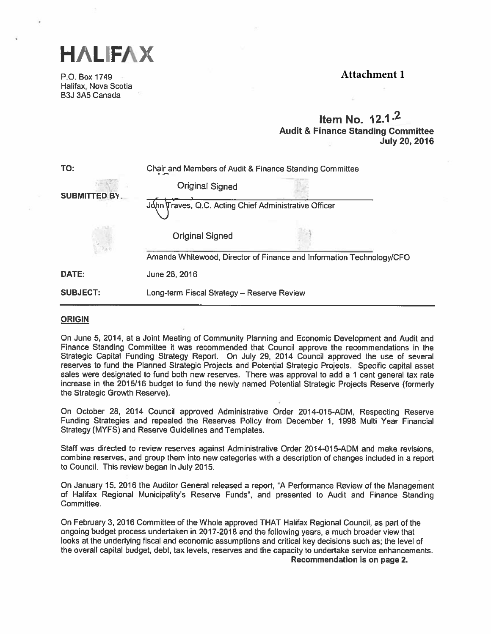



P.O. Box 1749 Halifax, Nova Scotia B3J 3A5 Canada

# Item No. 12.1 .2 Audit & Finance Standing Committee July 20, 2016

| TO:                 | Chair and Members of Audit & Finance Standing Committee |                                                                      |  |
|---------------------|---------------------------------------------------------|----------------------------------------------------------------------|--|
|                     | <b>Original Signed</b>                                  |                                                                      |  |
| <b>SUBMITTED BY</b> | John Traves, Q.C. Acting Chief Administrative Officer   |                                                                      |  |
|                     | <b>Original Signed</b>                                  |                                                                      |  |
|                     |                                                         | Amanda Whitewood, Director of Finance and Information Technology/CFO |  |
| DATE:               | June 28, 2016                                           |                                                                      |  |
| <b>SUBJECT:</b>     | Long-term Fiscal Strategy - Reserve Review              |                                                                      |  |

### ORIGIN

On June 5, 2014, at <sup>a</sup> Joint Meeting of Community Planning and Economic Development and Audit and Finance Standing Committee it was recommended that Council approve the recommendations in the Strategic Capital Funding Strategy Report. On July 29, <sup>2014</sup> Council approve<sup>d</sup> the use of several reserves to fund the Planned Strategic Projects and Potential Strategic Projects. Specific capital asset sales were designated to fund both new reserves. There was approval to add a 1 cent general tax rate increase in the 2015/16 budget to fund the newly named Potential Strategic Projects Reserve (formerly the Strategic Growth Reserve).

On October 28, <sup>2014</sup> Council approve<sup>d</sup> Administrative Order 2014-015-ADM, Respecting Reserve Funding Strategies and repealed the Reserves Policy from December 1, 1998 Multi Year Financial Strategy (MYFS) and Reserve Guidelines and Templates.

Staff was directed to review reserves against Administrative Order 2014-015-ADM and make revisions, combine reserves, and group them into new categories with <sup>a</sup> description of changes included in <sup>a</sup> repor<sup>t</sup> to Council. This review began in July 2015.

On January 15, 2016 the Auditor General released <sup>a</sup> report, 'A Performance Review of the Management of Halifax Regional Municipality's Reserve Funds", and presented to Audit and Finance Standing Committee.

On February 3, <sup>2016</sup> Committee of the Whole approved THAT Halifax Regional Council, as par<sup>t</sup> of the ongoing budget process undertaken in 2017-2018 and the following years, <sup>a</sup> much broader view that looks at the underlying fiscal and economic assumptions and critical key decisions such as; the level of the overall capital budget, debt, tax levels, reserves and the capacity to undertake service enhancements. Recommendation is on page 2.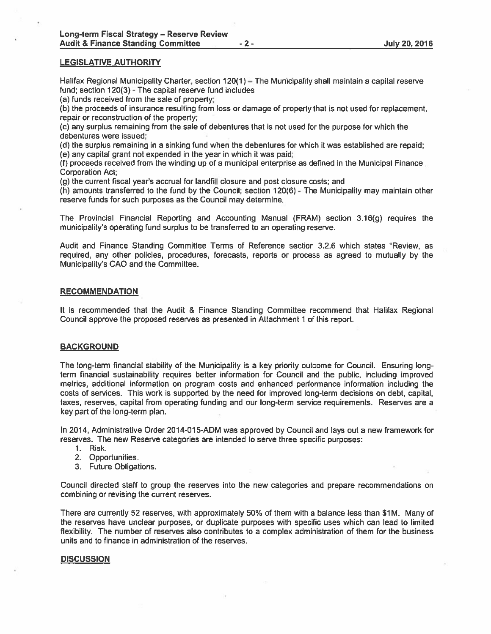#### LEGISLATIVE AUTHORITY

Halifax Regional Municipality Charter, section 120(1) — The Municipality shall maintain <sup>a</sup> capital reserve fund; section  $120(3)$  - The capital reserve fund includes

(a) funds received from the sale of property;

(b) the proceeds of insurance resulting from loss or damage of property that is not used for replacement, repair or reconstruction of the property:

(c) any surplus remaining from the sale of debentures that is not used for the purpose for which the debentures were issued;

(d) the surplus remaining in <sup>a</sup> sinking fund when the debentures for which it was established are repaid;

(e) any capital gran<sup>t</sup> not expended in the year in which it was paid;

(f) proceeds received from the winding up of <sup>a</sup> municipal enterprise as defined in the Municipal Finance Corporation Act;

(g) the current fiscal year's accrual for landfill closure and pos<sup>t</sup> closure costs; and

(h) amounts transferred to the fund by the Council; section 120(6) -The Municipality may maintain other reserve funds for such purposes as the Council may determine.

The Provincial Financial Reporting and Accounting Manual (FRAM) section 3.16(g) requires the municipality's operating fund surplus to be transferred to an operating reserve.

Audit and Finance Standing Committee Terms of Reference section 3.2.6 which states "Review, as required, any other policies, procedures, forecasts, reports or process as agreed to mutually by the Municipality's CAO and the Committee.

#### **RECOMMENDATION**

It is recommended that the Audit & Finance Standing Committee recommend that Halifax Regional Council approve the proposed reserves as presented in Attachment 1 of this report.

### BACKGROUND

The long-term financial stability of the Municipality is <sup>a</sup> key priority outcome for Council. Ensuring longterm financial sustainability requires better information for Council and the public, including improved metrics, additional information on program costs and enhanced performance information including the costs of services. This work is supported by the need for improved long-term decisions on debt, capital, taxes, reserves, capital from operating funding and our long-term service requirements. Reserves are <sup>a</sup> key par<sup>t</sup> of the long-term plan.

In 2014, Administrative Order 2014-015-ADM was approved by Council and lays out a new framework for reserves. The new Reserve categories are intended to serve three specific purposes:

- 1. Risk.
- 2. Opportunities.
- 3. Future Obligations.

Council directed staff to group the reserves into the new categories and prepare recommendations on combining or revising the current reserves.

There are currently 52 reserves, with approximately 50% of them with a balance less than \$1M. Many of the reserves have unclear purposes, or duplicate purposes with specific uses which can lead to limited flexibility. The number of reserves also contributes to <sup>a</sup> complex administration of them for the business units and to finance in administration of the reserves.

#### **DISCUSSION**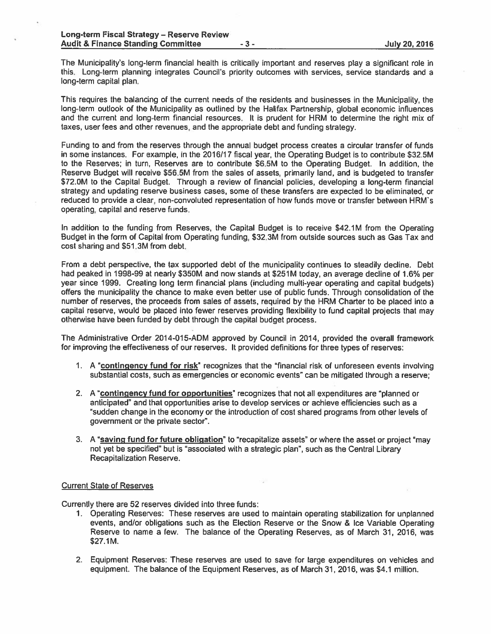The Municipality's long-term financial health is critically important and reserves <sup>p</sup>lay <sup>a</sup> significant role in this. Long-term planning integrates Council's priority outcomes with services, service standards and <sup>a</sup> long-term capital plan.

This requires the balancing of the current needs of the residents and businesses in the Municipality, the long-term outlook of the Municipality as outlined by the Halifax Partnership, <sup>g</sup>lobal economic influences and the current and long-term financial resources. It is prudent for HRM to determine the right mix of taxes, user fees and other revenues, and the appropriate debt and funding strategy.

Funding to and from the reserves through the annual budget process creates <sup>a</sup> circular transfer of funds in some instances. For example, in the 2016/17 fiscal year, the Operating Budget is to contribute \$325M to the Reserves; in turn, Reserves are to contribute \$6.5M to the Operating Budget. In addition, the Reserve Budget will receive \$56.5M from the sales of assets, primarily land, and is budgeted to transfer \$72.OM to the Capital Budget. Through <sup>a</sup> review of financial policies, developing <sup>a</sup> long-term financial strategy and updating reserve business cases, some of these transfers are expected to be eliminated, or reduced to provide a clear, non-convoluted representation of how funds move or transfer between HRM's operating, capital and reserve funds.

In addition to the funding from Reserves, the Capital Budget is to receive \$42.1M from the Operating Budget in the form of Capital from Operating funding, \$32.3M from outside sources such as Gas Tax and cost sharing and 551 3M from debt.

From <sup>a</sup> debt perspective, the tax supported debt of the municipality continues to steadily decline. Debt had peaked in 1998-99 at nearly 5350M and now stands at \$251M today, an average decline of 1.6% per year since 1999. Creating long term financial plans (including multi-year operating and capital budgets) offers the municipality the chance to make even better use of public funds. Through consolidation of the number of reserves, the proceeds from sales of assets, required by the HRM Charter to be placed into <sup>a</sup> capital reserve, would be placed into fewer reserves providing flexibility to fund capital projects that may otherwise have been funded by debt through the capital budget process.

The Administrative Order 2014-015-ADM approved by Council in 2014, provided the overall framework for improving the effectiveness of our reserves. It provided definitions for three types of reserves:

- 1. A "contingency fund for risk" recognizes that the "financial risk of unforeseen events involving substantial costs, such as emergencies or economic events" can be mitigated through <sup>a</sup> reserve;
- 2. A "contingency fund for opportunities" recognizes that not all expenditures are "planned or anticipated" and that opportunities arise to develop services or achieve efficiencies such as <sup>a</sup> "sudden change in the economy or the introduction of cost shared programs from other levels of governmen<sup>t</sup> or the private sector".
- 3. A "saving fund for future obligation" to "recapitalize assets" or where the asset or project "may not ye<sup>t</sup> be specified" but is "associated with <sup>a</sup> strategic plan", such as the Central Library Recapitalization Reserve.

#### **Current State of Reserves**

Currently there are 52 reserves divided into three funds:

- 1. Operating Reserves: These reserves are used to maintain operating stabilization for unplanned events, and/or obligations such as the Election Reserve or the Snow & Ice Variable Operating Reserve to name <sup>a</sup> few. The balance of the Operating Reserves, as of March 31, 2016, was \$27.1M.
- 2. Equipment Reserves: These reserves are used to save for large expenditures on vehicles and equipment. The balance of the Equipment Reserves, as of March 31, 2016, was \$4.1 million.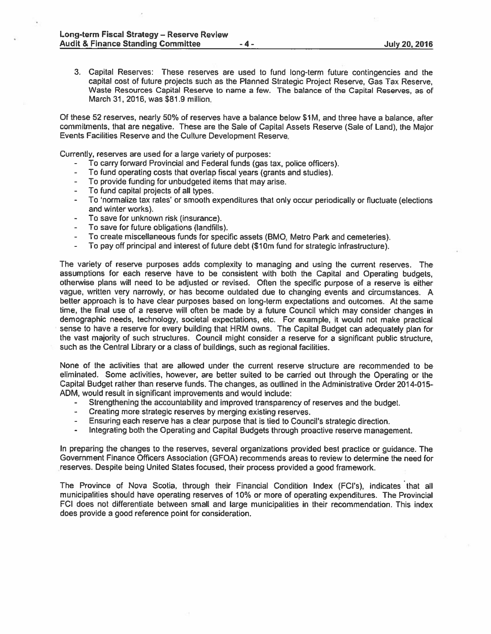3. Capital Reserves: These reserves are used to fund long-term future contingencies and the capital cost of future projects such as the Planned Strategic Project Reserve, Gas Tax Reserve, Waste Resources Capital Reserve to name <sup>a</sup> few. The balance of the Capital Reserves, as of March 31, 2016, was \$81.9 million.

Of these 52 reserves, nearly 50% of reserves have <sup>a</sup> balance below S1M, and three have <sup>a</sup> balance, after commitments, that are negative. These are the Sale of Capital Assets Reserve (Sale of Land), the Major Events Facilities Reserve and the Culture Development Reserve.

Currently, reserves are used for <sup>a</sup> large variety of purposes:

- To carry forward Provincial and Federal funds (gas tax, police officers).
- To fund operating costs that overlap fiscal years (grants and studies).
- To provide funding for unbudgeted items that may arise.
- To fund capital projects of all types.
- To 'normalize tax rates' or smooth expenditures that only occur periodically or fluctuate (elections and winter works).
- To save for unknown risk (insurance).
- To save for future obligations (landfills).
- To create miscellaneous funds for specific assets (BMO, Metro Park and cemeteries).
- To pay off principal and interest of future debt (\$lOm fund for strategic infrastructure).

The variety of reserve purposes adds complexity to managing and using the current reserves. The assumptions for each reserve have to be consistent with both the Capital and Operating budgets, otherwise plans will need to be adjusted or revised. Often the specific purpose of <sup>a</sup> reserve is either vague, written very narrowly, or has become outdated due to changing events and circumstances. A better approach is to have clear purposes based on long-term expectations and outcomes. At the same time, the final use of <sup>a</sup> reserve will often be made by <sup>a</sup> future Council which may consider changes in demographic needs, technology, societal expectations, etc. For example, it would not make practical sense to have <sup>a</sup> reserve for every building that HRM owns. The Capital Budget can adequately <sup>p</sup>lan for the vast majority of such structures. Council might consider <sup>a</sup> reserve for <sup>a</sup> significant public structure, such as the Central Library or <sup>a</sup> class of buildings, such as regional facilities.

None of the activities that are allowed under the current reserve structure are recommended to be eliminated. Some activities, however, are better suited to be carried out through the Operating or the Capital Budget rather than reserve funds, The changes, as outlined in the Administrative Order 2014-015- ADM, would result in significant improvements and would include:

- Strengthening the accountability and improved transparency of reserves and the budget.
- $\overline{\phantom{a}}$ Creating more strategic reserves by merging existing reserves.
- Ensuring each reserve has <sup>a</sup> clear purpose that is tied to Council's strategic direction.
- Integrating both the Operating and Capital Budgets through proactive reserve management.

In preparing the changes to the reserves, several organizations provided best practice or guidance. The Government Finance Officers Association (GFOA) recommends areas to review to determine the need for reserves. Despite being United States focused, their process provided <sup>a</sup> good framework.

The Province of Nova Scotia, through their Financial Condition Index (FCI's), indicates that all municipalities should have operating reserves of 10% or more of operating expenditures. The Provincial FCI does not differentiate between small and large municipalities in their recommendation. This index does provide <sup>a</sup> good reference point for consideration.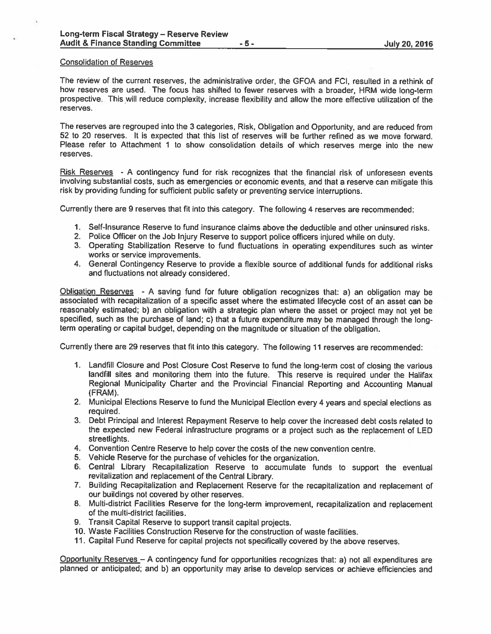### Consolidation of Reserves

The review of the current reserves, the administrative order, the GFOA and FCI, resulted in <sup>a</sup> rethink of how reserves are used. The focus has shifted to fewer reserves with <sup>a</sup> broader, HRM wide long-term prospective. This will reduce complexity, increase flexibility and allow the more effective utilization of the reserves.

The reserves are regrouped into the 3 categories. Risk, Obligation and Opportunity, and are reduced from 52 to 20 reserves. It is expected that this list of reserves will be further refined as we move forward. Please refer to Attachment 1 to show consolidation details of which reserves merge into the new reserves.

Risk Reserves - A contingency fund for risk recognizes that the financial risk of unforeseen events involving substantial costs, such as emergencies or economic events, and that <sup>a</sup> reserve can mitigate this risk by providing funding for sufficient public safety or preventing service interruptions.

Currently there are <sup>9</sup> reserves that fit into this category. The following <sup>4</sup> reserves are recommended:

- 1. Self-Insurance Reserve to fund insurance claims above the deductible and other uninsured risks.
- 2. Police Officer on the Job Injury Reserve to suppor<sup>t</sup> police officers injured while on duty.
- 3. Operating Stabilization Reserve to fund fluctuations in operating expenditures such as winter works or service improvements.
- 4. General Contingency Reserve to provide <sup>a</sup> flexible source of additional funds for additional risks and fluctuations not already considered.

Obligation Reserves - <sup>A</sup> saving fund for future obligation recognizes that: a) an obligation may be associated with recapitalization of <sup>a</sup> specific asset where the estimated lifecycle cost of an asset can be reasonably estimated; b) an obligation with <sup>a</sup> strategic <sup>p</sup>lan where the asset or project may not ye<sup>t</sup> be specified, such as the purchase of land; c) that <sup>a</sup> future expenditure may be manage<sup>d</sup> through the longterm operating or capital budget, depending on the magnitude or situation of the obligation.

Currently there are 29 reserves that fit into this category. The following <sup>11</sup> reserves are recommended:

- 1. Landfill Closure and Post Closure Cost Reserve to fund the long-term cost of closing the various landfill sites and monitoring them into the future. This reserve is required under the Halifax Regional Municipality Charter and the Provincial Financial Reporting and Accounting Manual (FRAM).
- 2. Municipal Elections Reserve to fund the Municipal Election every <sup>4</sup> years and special elections as required.
- 3. Debt Principal and Interest Repayment Reserve to help cover the increased debt costs related to the expected new Federal infrastructure programs or <sup>a</sup> project such as the replacement of LED streetlights.
- 4. Convention Centre Reserve to help cover the costs of the new convention centre.
- 5. Vehicle Reserve for the purchase of vehicles for the organization.
- 6. Central Library Recapitalization Reserve to accumulate funds to suppor<sup>t</sup> the eventual revitalization and replacement of the Central Library.
- 7. Building Recapitalization and Replacement Reserve for the recapitalization and replacement of our buildings not covered by other reserves.
- 8. Multi-district Facilities Reserve for the long-term improvement, recapitalization and replacement of the multi-district facilities.
- 9. Transit Capital Reserve to suppor<sup>t</sup> transit capital projects.
- 10. Waste Facilities Construction Reserve for the construction of waste facilities.
- 11. Capital Fund Reserve for capital projects not specifically covered by the above reserves.

Opportunity Reserves — <sup>A</sup> contingency fund for opportunities recognizes that: a) not all expenditures are <sup>p</sup>lanned or anticipated; and b) an opportunity may arise to develop services or achieve efficiencies and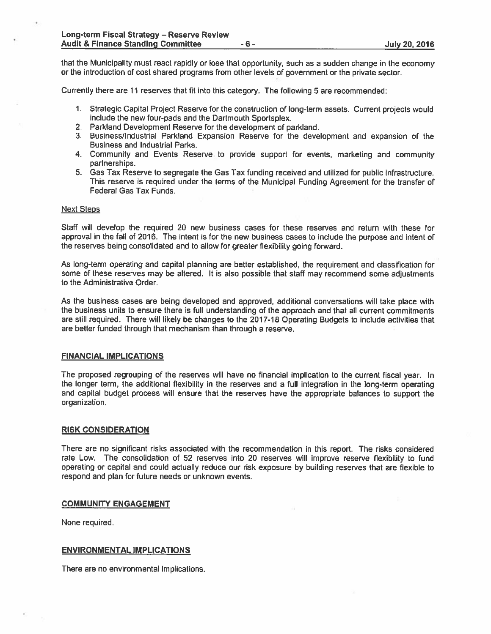that the Municipality must react rapidly or lose that opportunity, such as <sup>a</sup> sudden change in the economy or the introduction of cost shared programs from other levels of governmen<sup>t</sup> or the private sector.

Currently there are <sup>11</sup> reserves that fit into this category. The following 5 are recommended:

- 1. Strategic Capital Project Reserve for the construction of long-term assets. Current projects would include the new four-pads and the Dartmouth Sportsplex.
- 2. Parkland Development Reserve for the development of parkland.
- 3. Business/Industrial Parkland Expansion Reserve for the development and expansion of the Business and Industrial Parks.
- 4. Community and Events Reserve to provide suppor<sup>t</sup> for events, marketing and community partnerships.
- 5. Gas Tax Reserve to segregate the Gas Tax funding received and utilized for public infrastructure. This reserve is required under the terms of the Municipal Funding Agreement for the transfer of Federal Gas Tax Funds.

#### Next Steps

Staff will develop the required 20 new business cases for these reserves and return with these for approval in the fall of 2016. The intent is for the new business cases to include the purpose and intent of the reserves being consolidated and to allow for greater flexibility going forward.

As long-term operating and capital planning are better established, the requirement and classification for some of these reserves may be altered. It is also possible that staff may recommend some adjustments to the Administrative Order.

As the business cases are being developed and approved, additional conversations will take <sup>p</sup>lace with the business units to ensure there is full understanding of the approach and that all current commitments are still required. There will likely be changes to the 2017-18 Operating Budgets to include activities that are better funded through that mechanism than through <sup>a</sup> reserve.

### FINANCIAL IMPLICATIONS

The proposed regrouping of the reserves will have no financial implication to the current fiscal year. In the longer term, the additional flexibility in the reserves and <sup>a</sup> full integration in the long-term operating and capital budget process will ensure that the reserves have the appropriate balances to suppor<sup>t</sup> the organization.

#### RISK CONSIDERATION

There are no significant risks associated with the recommendation in this report. The risks considered rate Low. The consolidation of 52 reserves into 20 reserves will improve reserve flexibility to fund operating or capital and could actually reduce our risk exposure by building reserves that are flexible to respond and plan for future needs or unknown events.

#### COMMUNITY ENGAGEMENT

None required.

### ENVIRONMENTAL IMPLICATIONS

There are no environmental implications.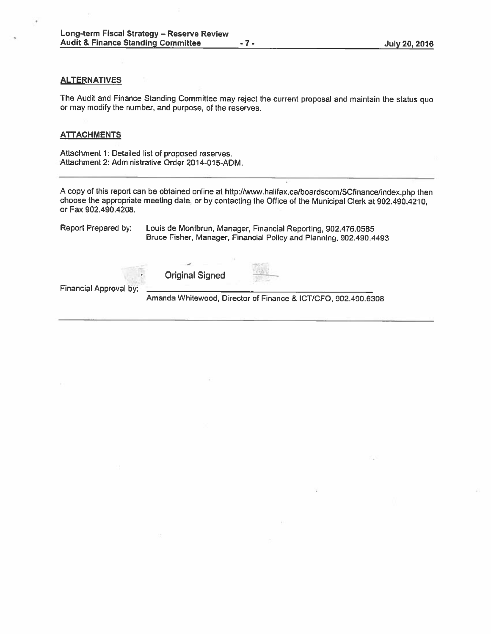### **ALTERNATIVES**

The Audit and Finance Standing Committee may reject the current proposa<sup>l</sup> and maintain the status quo or may modify the number, and purpose, of the reserves.

#### **ATTACHMENTS**

Attachment 1: Detailed list of proposed reserves. Attachment 2: Administrative Order 2014-015-ADM.

<sup>A</sup> copy of this repor<sup>t</sup> can be obtained online at http://www.halifax.ca/boardscam/SCfinance/index.php then choose the appropriate meeting date, or by contacting the Office of the Municipal Clerk at 902.490.4210, or Fax 902.490.4208.

Report Prepared by: Louis de Montbrun, Manager, Financial Reporting, 902.476.0585 Bruce Fisher, Manager, Financial Policy and Planning, 902.490.4493 Original Signed

Financial Approval by:

Amanda Whitewood, Director of Finance & ICT/CFO, 902.490.6308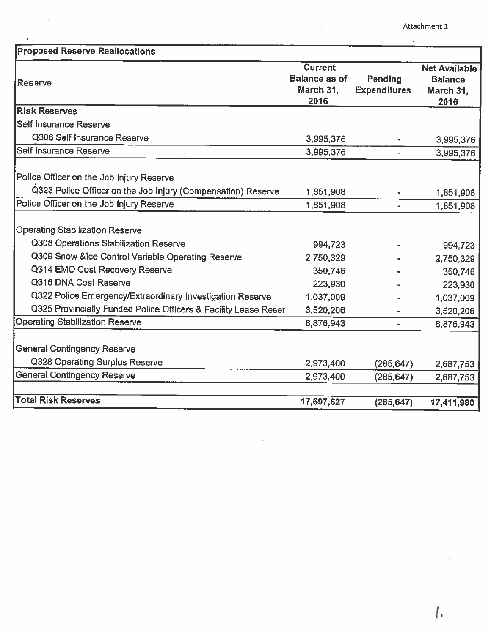Attachment 1

| <b>Proposed Reserve Reallocations</b>                                                                                                                                                                                                                                                                                                                                     |                                                                                   |                                |                                                                                   |
|---------------------------------------------------------------------------------------------------------------------------------------------------------------------------------------------------------------------------------------------------------------------------------------------------------------------------------------------------------------------------|-----------------------------------------------------------------------------------|--------------------------------|-----------------------------------------------------------------------------------|
| Reserve                                                                                                                                                                                                                                                                                                                                                                   | <b>Current</b><br><b>Balance as of</b><br>March 31,<br>2016                       | Pending<br><b>Expenditures</b> | <b>Net Available</b><br><b>Balance</b><br>March 31,<br>2016                       |
| <b>Risk Reserves</b>                                                                                                                                                                                                                                                                                                                                                      |                                                                                   |                                |                                                                                   |
| Self Insurance Reserve                                                                                                                                                                                                                                                                                                                                                    |                                                                                   |                                |                                                                                   |
| Q306 Self Insurance Reserve                                                                                                                                                                                                                                                                                                                                               | 3,995,376                                                                         |                                | 3,995,376                                                                         |
| Self Insurance Reserve                                                                                                                                                                                                                                                                                                                                                    | 3,995,376                                                                         |                                | 3,995,376                                                                         |
| Police Officer on the Job Injury Reserve<br>Q323 Police Officer on the Job Injury (Compensation) Reserve                                                                                                                                                                                                                                                                  | 1,851,908                                                                         |                                | 1,851,908                                                                         |
| Police Officer on the Job Injury Reserve                                                                                                                                                                                                                                                                                                                                  | 1,851,908                                                                         |                                | 1,851,908                                                                         |
| <b>Operating Stabilization Reserve</b><br>Q308 Operations Stabilization Reserve<br>Q309 Snow &Ice Control Variable Operating Reserve<br>Q314 EMO Cost Recovery Reserve<br>Q316 DNA Cost Reserve<br>Q322 Police Emergency/Extraordinary Investigation Reserve<br>Q325 Provincially Funded Police Officers & Facility Lease Reser<br><b>Operating Stabilization Reserve</b> | 994,723<br>2,750,329<br>350,746<br>223,930<br>1,037,009<br>3,520,206<br>8,876,943 |                                | 994,723<br>2,750,329<br>350,746<br>223,930<br>1,037,009<br>3,520,206<br>8,876,943 |
| <b>General Contingency Reserve</b><br>Q328 Operating Surplus Reserve                                                                                                                                                                                                                                                                                                      | 2,973,400                                                                         | (285, 647)                     | 2,687,753                                                                         |
| <b>General Contingency Reserve</b>                                                                                                                                                                                                                                                                                                                                        | 2,973,400                                                                         | (285, 647)                     | 2,687,753                                                                         |
| <b>Total Risk Reserves</b>                                                                                                                                                                                                                                                                                                                                                | 17,697,627                                                                        | (285, 647)                     | 17,411,980                                                                        |

 $\alpha$ 

 $\Xi$ 

Ň.

 $\mathcal{L}$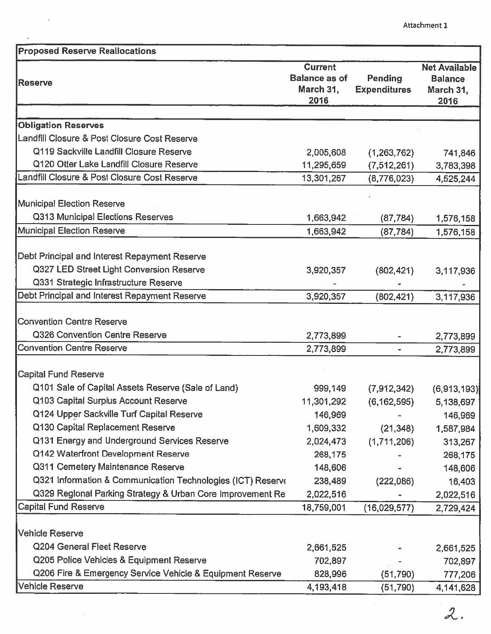| <b>Current</b><br><b>Balance as of</b><br>Pending<br>March 31,<br><b>Expenditures</b><br>2016<br>2016<br>Q119 Sackville Landfill Closure Reserve<br>2,005,608<br>(1,263,762)<br>Q120 Otter Lake Landfill Closure Reserve<br>11,295,659<br>(7,512,261)<br>3,783,398<br>13,301,267<br>(8,776,023) |                                                     | <b>Proposed Reserve Reallocations</b> |
|-------------------------------------------------------------------------------------------------------------------------------------------------------------------------------------------------------------------------------------------------------------------------------------------------|-----------------------------------------------------|---------------------------------------|
| <b>Obligation Reserves</b><br>Landfill Closure & Post Closure Cost Reserve<br>Landfill Closure & Post Closure Cost Reserve<br><b>Municipal Election Reserve</b>                                                                                                                                 | <b>Net Available</b><br><b>Balance</b><br>March 31, | <b>Reserve</b>                        |
|                                                                                                                                                                                                                                                                                                 |                                                     |                                       |
|                                                                                                                                                                                                                                                                                                 |                                                     |                                       |
|                                                                                                                                                                                                                                                                                                 |                                                     |                                       |
|                                                                                                                                                                                                                                                                                                 | 741,846                                             |                                       |
|                                                                                                                                                                                                                                                                                                 |                                                     |                                       |
|                                                                                                                                                                                                                                                                                                 | 4,525,244                                           |                                       |
|                                                                                                                                                                                                                                                                                                 |                                                     |                                       |
| Q313 Municipal Elections Reserves<br>1,663,942<br>(87, 784)                                                                                                                                                                                                                                     | 1,576,158                                           |                                       |
| Municipal Election Reserve<br>1,663,942<br>(87, 784)                                                                                                                                                                                                                                            | 1,576,158                                           |                                       |
|                                                                                                                                                                                                                                                                                                 |                                                     |                                       |
| Debt Principal and Interest Repayment Reserve                                                                                                                                                                                                                                                   |                                                     |                                       |
| Q327 LED Street Light Conversion Reserve<br>3,920,357<br>(802, 421)                                                                                                                                                                                                                             | 3,117,936                                           |                                       |
| Q331 Strategic Infrastructure Reserve                                                                                                                                                                                                                                                           |                                                     |                                       |
| Debt Principal and Interest Repayment Reserve<br>3,920,357<br>(802, 421)                                                                                                                                                                                                                        | 3,117,936                                           |                                       |
|                                                                                                                                                                                                                                                                                                 |                                                     |                                       |
| <b>Convention Centre Reserve</b>                                                                                                                                                                                                                                                                |                                                     |                                       |
| Q326 Convention Centre Reserve<br>2,773,899                                                                                                                                                                                                                                                     | 2,773,899                                           |                                       |
| <b>Convention Centre Reserve</b><br>2,773,899                                                                                                                                                                                                                                                   | 2,773,899                                           |                                       |
| <b>Capital Fund Reserve</b>                                                                                                                                                                                                                                                                     |                                                     |                                       |
| Q101 Sale of Capital Assets Reserve (Sale of Land)<br>999,149<br>(7,912,342)                                                                                                                                                                                                                    | (6,913,193)                                         |                                       |
| Q103 Capital Surplus Account Reserve<br>11,301,292<br>(6, 162, 595)                                                                                                                                                                                                                             | 5,138,697                                           |                                       |
| Q124 Upper Sackville Turf Capital Reserve<br>146,969                                                                                                                                                                                                                                            | 146,969                                             |                                       |
| Q130 Capital Replacement Reserve<br>1,609,332<br>(21, 348)                                                                                                                                                                                                                                      | 1,587,984                                           |                                       |
| Q131 Energy and Underground Services Reserve<br>2,024,473<br>(1,711,206)                                                                                                                                                                                                                        | 313,267                                             |                                       |
| Q142 Waterfront Development Reserve<br>268,175                                                                                                                                                                                                                                                  | 268,175                                             |                                       |
| Q311 Cemetery Maintenance Reserve<br>148,606                                                                                                                                                                                                                                                    | 148,606                                             |                                       |
| Q321 Information & Communication Technologies (ICT) Reserve<br>238,489<br>(222,086)                                                                                                                                                                                                             | 16,403                                              |                                       |
| Q329 Regional Parking Strategy & Urban Core Improvement Re<br>2,022,516                                                                                                                                                                                                                         | 2,022,516                                           |                                       |
| <b>Capital Fund Reserve</b><br>18,759,001<br>(16,029,577)                                                                                                                                                                                                                                       | 2,729,424                                           |                                       |
|                                                                                                                                                                                                                                                                                                 |                                                     |                                       |
| Vehicle Reserve                                                                                                                                                                                                                                                                                 |                                                     |                                       |
| Q204 General Fleet Reserve<br>2,661,525                                                                                                                                                                                                                                                         | 2,661,525                                           |                                       |
| Q205 Police Vehicles & Equipment Reserve<br>702,897                                                                                                                                                                                                                                             | 702,897                                             |                                       |
| Q206 Fire & Emergency Service Vehicle & Equipment Reserve<br>828,996<br>(51,790)                                                                                                                                                                                                                | 777,206                                             |                                       |
| Vehicle Reserve<br>4,193,418<br>(51, 790)                                                                                                                                                                                                                                                       | 4,141,628                                           |                                       |

 $\overline{\phantom{a}}$ 

 $\tilde{\nu}_\mathrm{S}$ 

 $\bar{\star}$ 

 $2.$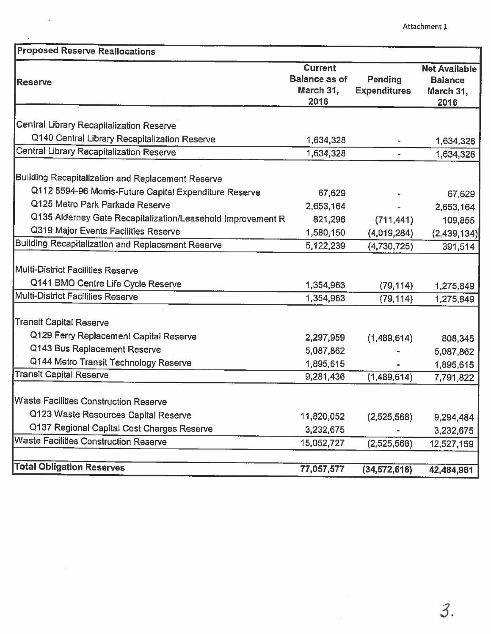| <b>Proposed Reserve Reallocations</b>                       |                                                             |                                |                                                             |
|-------------------------------------------------------------|-------------------------------------------------------------|--------------------------------|-------------------------------------------------------------|
| <b>Reserve</b>                                              | <b>Current</b><br><b>Balance as of</b><br>March 31,<br>2016 | Pending<br><b>Expenditures</b> | <b>Net Available</b><br><b>Balance</b><br>March 31,<br>2016 |
| Central Library Recapitalization Reserve                    |                                                             |                                |                                                             |
| Q140 Central Library Recapitalization Reserve               | 1,634,328                                                   |                                |                                                             |
| Central Library Recapitalization Reserve                    | 1,634,328                                                   | $\sim$                         | 1,634,328<br>1,634,328                                      |
| Building Recapitalization and Replacement Reserve           |                                                             |                                |                                                             |
| Q112 5594-96 Morris-Future Capital Expenditure Reserve      | 67,629                                                      |                                | 67,629                                                      |
| Q125 Metro Park Parkade Reserve                             | 2,653,164                                                   |                                | 2,653,164                                                   |
| Q135 Alderney Gate Recapitalization/Leasehold Improvement R | 821,296                                                     | (711, 441)                     | 109,855                                                     |
| Q319 Major Events Facilities Reserve                        | 1,580,150                                                   | (4,019,284)                    | (2, 439, 134)                                               |
| <b>Building Recapitalization and Replacement Reserve</b>    | 5,122,239                                                   | (4,730,725)                    | 391,514                                                     |
| Multi-District Facilities Reserve                           |                                                             |                                |                                                             |
| Q141 BMO Centre Life Cycle Reserve                          | 1,354,963                                                   | (79, 114)                      | 1,275,849                                                   |
| Multi-District Facilities Reserve                           | 1,354,963                                                   | (79, 114)                      | 1,275,849                                                   |
| <b>Transit Capital Reserve</b>                              |                                                             |                                |                                                             |
| Q129 Ferry Replacement Capital Reserve                      | 2,297,959                                                   | (1,489,614)                    | 808,345                                                     |
| Q143 Bus Replacement Reserve                                | 5,087,862                                                   |                                | 5,087,862                                                   |
| Q144 Metro Transit Technology Reserve                       | 1,895,615                                                   |                                | 1,895,615                                                   |
| <b>Transit Capital Reserve</b>                              | 9,281,436                                                   | (1,489,614)                    | 7,791,822                                                   |
| <b>Waste Facilities Construction Reserve</b>                |                                                             |                                |                                                             |
| Q123 Waste Resources Capital Reserve                        | 11,820,052                                                  | (2,525,568)                    | 9,294,484                                                   |
| Q137 Regional Capital Cost Charges Reserve                  | 3,232,675                                                   |                                | 3,232,675                                                   |
| <b>Waste Facilities Construction Reserve</b>                | 15,052,727                                                  | (2,525,568)                    | 12,527,159                                                  |
| <b>Total Obligation Reserves</b>                            | 77,057,577                                                  | (34, 572, 616)                 | 42,484,961                                                  |

 $\hat{\textbf{z}}$ 

<u>and</u> and the state of the state of the state of the state of the state of the state of the state of the state of the state of the state of the state of the state of the state of the state of the state of the state of the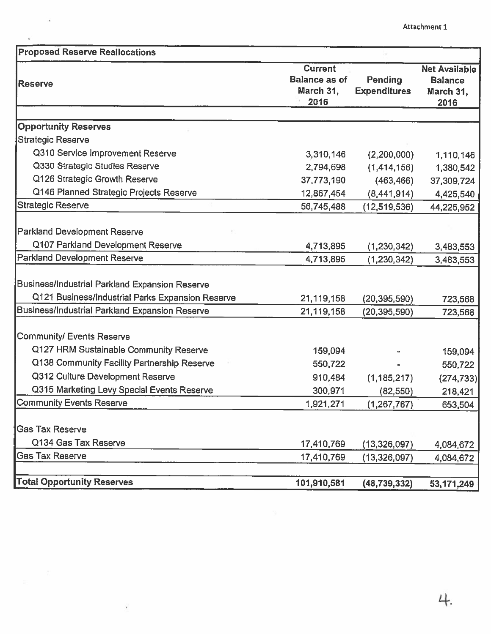| <b>Proposed Reserve Reallocations</b>                 |                                                             |                                |                                                             |
|-------------------------------------------------------|-------------------------------------------------------------|--------------------------------|-------------------------------------------------------------|
| <b>Reserve</b>                                        | <b>Current</b><br><b>Balance as of</b><br>March 31,<br>2016 | Pending<br><b>Expenditures</b> | <b>Net Available</b><br><b>Balance</b><br>March 31,<br>2016 |
|                                                       |                                                             |                                |                                                             |
| <b>Opportunity Reserves</b>                           |                                                             |                                |                                                             |
| Strategic Reserve                                     |                                                             |                                |                                                             |
| Q310 Service Improvement Reserve                      | 3,310,146                                                   | (2,200,000)                    | 1,110,146                                                   |
| Q330 Strategic Studies Reserve                        | 2,794,698                                                   | (1,414,156)                    | 1,380,542                                                   |
| Q126 Strategic Growth Reserve                         | 37,773,190                                                  | (463, 466)                     | 37,309,724                                                  |
| Q146 Planned Strategic Projects Reserve               | 12,867,454                                                  | (8,441,914)                    | 4,425,540                                                   |
| <b>Strategic Reserve</b>                              | 56,745,488                                                  | (12,519,536)                   | 44,225,952                                                  |
| <b>Parkland Development Reserve</b>                   |                                                             |                                |                                                             |
| Q107 Parkland Development Reserve                     | 4,713,895                                                   | (1, 230, 342)                  | 3,483,553                                                   |
| Parkland Development Reserve                          | 4,713,895                                                   | (1, 230, 342)                  | 3,483,553                                                   |
| Business/Industrial Parkland Expansion Reserve        |                                                             |                                |                                                             |
| Q121 Business/Industrial Parks Expansion Reserve      | 21,119,158                                                  | (20, 395, 590)                 | 723,568                                                     |
| <b>Business/Industrial Parkland Expansion Reserve</b> | 21,119,158                                                  | (20, 395, 590)                 | 723,568                                                     |
| <b>Community/ Events Reserve</b>                      |                                                             |                                |                                                             |
| Q127 HRM Sustainable Community Reserve                | 159,094                                                     |                                | 159,094                                                     |
| Q138 Community Facility Partnership Reserve           | 550,722                                                     |                                | 550,722                                                     |
| Q312 Culture Development Reserve                      | 910,484                                                     | (1, 185, 217)                  | (274, 733)                                                  |
| Q315 Marketing Levy Special Events Reserve            | 300,971                                                     | (82, 550)                      | 218,421                                                     |
| <b>Community Events Reserve</b>                       | 1,921,271                                                   | (1, 267, 767)                  | 653,504                                                     |
| <b>Gas Tax Reserve</b>                                |                                                             |                                |                                                             |
| Q134 Gas Tax Reserve                                  | 17,410,769                                                  | (13,326,097)                   | 4,084,672                                                   |
| <b>Gas Tax Reserve</b>                                | 17,410,769                                                  | (13, 326, 097)                 | 4,084,672                                                   |
|                                                       |                                                             |                                |                                                             |
| <b>Total Opportunity Reserves</b>                     | 101,910,581                                                 | (48, 739, 332)                 | 53,171,249                                                  |

 $\mathbf{x}^{\prime}$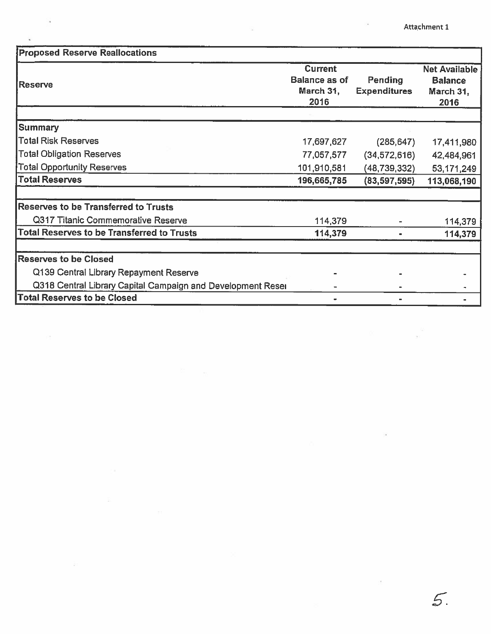Attachment 1

| <b>Proposed Reserve Reallocations</b>                       |                                                             |                                |                                                             |
|-------------------------------------------------------------|-------------------------------------------------------------|--------------------------------|-------------------------------------------------------------|
| Reserve                                                     | <b>Current</b><br><b>Balance as of</b><br>March 31,<br>2016 | Pending<br><b>Expenditures</b> | <b>Net Available</b><br><b>Balance</b><br>March 31,<br>2016 |
|                                                             |                                                             |                                |                                                             |
| Summary                                                     |                                                             |                                |                                                             |
| <b>Total Risk Reserves</b>                                  | 17,697,627                                                  | (285, 647)                     | 17,411,980                                                  |
| <b>Total Obligation Reserves</b>                            | 77,057,577                                                  | (34, 572, 616)                 | 42,484,961                                                  |
| <b>Total Opportunity Reserves</b>                           | 101,910,581                                                 | (48,739,332)                   | 53,171,249                                                  |
| <b>Total Reserves</b>                                       | 196,665,785                                                 | (83, 597, 595)                 | 113,068,190                                                 |
| <b>Reserves to be Transferred to Trusts</b>                 |                                                             |                                |                                                             |
| Q317 Titanic Commemorative Reserve                          | 114,379                                                     |                                | 114,379                                                     |
| <b>Total Reserves to be Transferred to Trusts</b>           | 114,379                                                     |                                | 114,379                                                     |
| <b>Reserves to be Closed</b>                                |                                                             |                                |                                                             |
| Q139 Central Library Repayment Reserve                      |                                                             |                                |                                                             |
| Q318 Central Library Capital Campaign and Development Reser |                                                             |                                |                                                             |
| <b>Total Reserves to be Closed</b>                          |                                                             |                                |                                                             |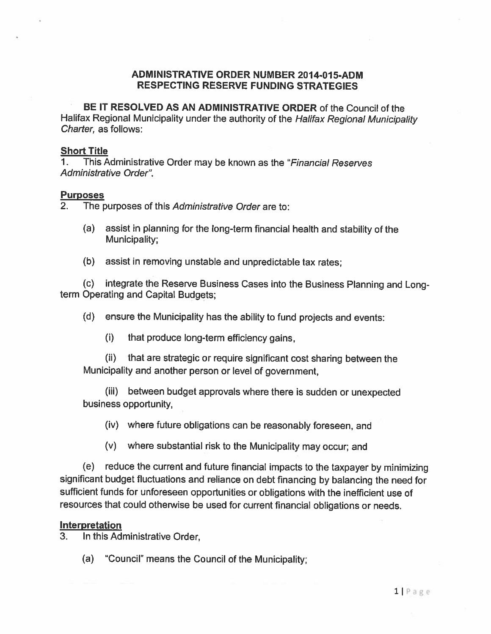## ADMINISTRATIVE ORDER NUMBER 2014-015-ADM RESPECTING RESERVE FUNDING STRATEGIES

BE IT RESOLVED AS AN ADMINISTRATIVE ORDER of the Council of the Halifax Regional Municipality under the authority of the Halifax Regional Municipality Charter, as follows:

## Short Title

1. This Administrative Order may be known as the "Financial Reserves" Administrative Order".

## **Purposes**

2. The purposes of this Administrative Order are to:

- (a) assist in <sup>p</sup>lanning for the long-term financial health and stability of the Municipality;
- (b) assist in removing unstable and unpredictable tax rates;

(c) integrate the Reserve Business Cases into the Business Planning and Longterm Operating and Capital Budgets;

- (d) ensure the Municipality has the ability to fund projects and events:
	- (i) that produce long-term efficiency gains,

(ii) that are strategic or require significant cost sharing between the Municipality and another person or level of government,

(iii) between budget approvals where there is sudden or unexpected business opportunity,

- (iv) where future obligations can be reasonably foreseen, and
- (v) where substantial risk to the Municipality may occur; and

(e) reduce the current and future financial impacts to the taxpayer by minimizing significant budget fluctuations and reliance on debt financing by balancing the need for sufficient funds for unforeseen opportunities or obligations with the inefficient use of resources that could otherwise be used for current financial obligations or needs.

## Interpretation

3. In this Administrative Order,

(a) "Council" means the Council of the Municipality: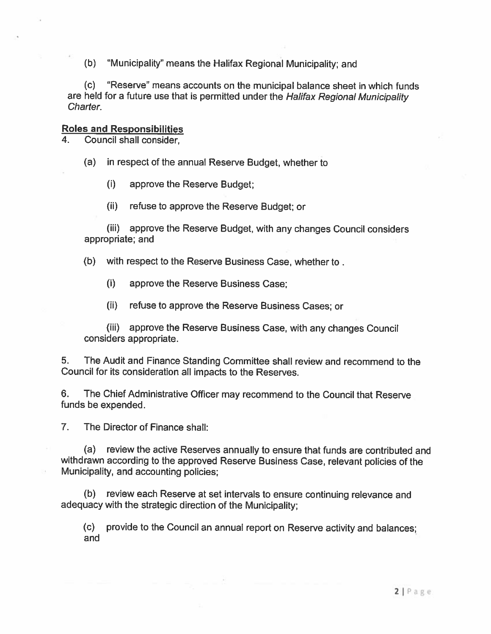(b) "Municipality" means the Halifax Regional Municipality; and

(c) "Reserve means accounts on the municipal balance sheet in which funds are held for a future use that is permitted under the Halifax Regional Municipality Charter.

# Roles and Responsibilities

4. Council shall consider,

(a) in respect of the annual Reserve Budget, whether to

(i) approve the Reserve Budget;

(ii) refuse to approve the Reserve Budget; or

(iii) approve the Reserve Budget, with any changes Council considers appropriate; and

(b) with respect to the Reserve Business Case, whether to.

(i) approve the Reserve Business Case;

(ii) refuse to approve the Reserve Business Cases; or

(iii) approve the Reserve Business Case, with any changes Council considers appropriate.

5. The Audit and Finance Standing Committee shall review and recommend to the Council for its consideration all impacts to the Reserves.

6. The Chief Administrative Officer may recommend to the Council that Reserve funds be expended.

7. The Director of Finance shall:

(a) review the active Reserves annually to ensure that funds are contributed and withdrawn according to the approve<sup>d</sup> Reserve Business Case, relevant policies of the Municipality, and accounting policies;

(b) review each Reserve at set intervals to ensure continuing relevance and adequacy with the strategic direction of the Municipality;

(c) provide to the Council an annual repor<sup>t</sup> on Reserve activity and balances; and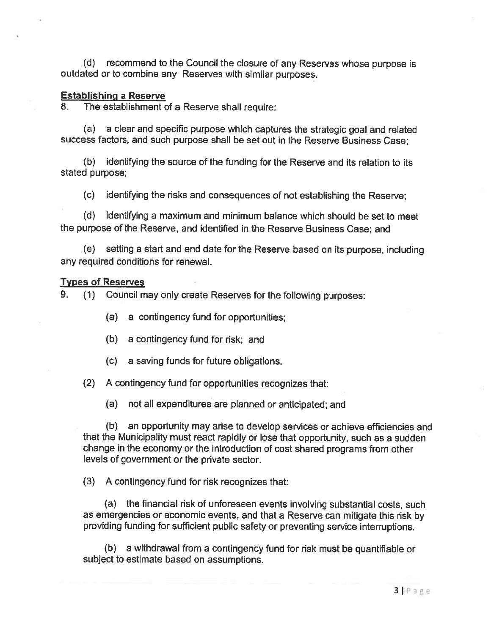(d) recommend to the Council the closure of any Reserves whose purpose is outdated or to combine any Reserves with similar purposes.

## Establishing <sup>a</sup> Reserve

8. The establishment of a Reserve shall require:

(a) <sup>a</sup> clear and specific purpose which captures the strategic goa<sup>l</sup> and related success factors, and such purpose shall be set out in the Reserve Business Case;

(b) identifying the source of the funding for the Reserve and its relation to its stated purpose;

(c) identifying the risks and consequences of not establishing the Reserve;

(d) identifying <sup>a</sup> maximum and minimum balance which should be set to meet the purpose of the Reserve, and identified in the Reserve Business Case; and

(e) setting <sup>a</sup> start and end date for the Reserve based on its purpose, including any required conditions for renewal.

## Types of Reserves

9. (1) Council may only create Reserves for the following purposes:

(a) <sup>a</sup> contingency fund for opportunities;

- (b) <sup>a</sup> contingency fund for risk; and
- (c) <sup>a</sup> saving funds for future obligations.

(2) <sup>A</sup> contingency fund for opportunities recognizes that:

(a) not all expenditures are planned or anticipated; and

(b) an opportunity may arise to develop services or achieve efficiencies and that the Municipality must react rapidly or lose that opportunity, such as <sup>a</sup> sudden change in the economy or the introduction of cost shared programs from other levels of governmen<sup>t</sup> or the private sector.

(3) A contingency fund for risk recognizes that:

(a) the financial risk of unforeseen events involving substantial costs, such as emergencies or economic events, and that <sup>a</sup> Reserve can mitigate this risk by providing funding for sufficient public safety or preventing service interruptions.

(b) <sup>a</sup> withdrawal from <sup>a</sup> contingency fund for risk must be quantifiable or subject to estimate based on assumptions.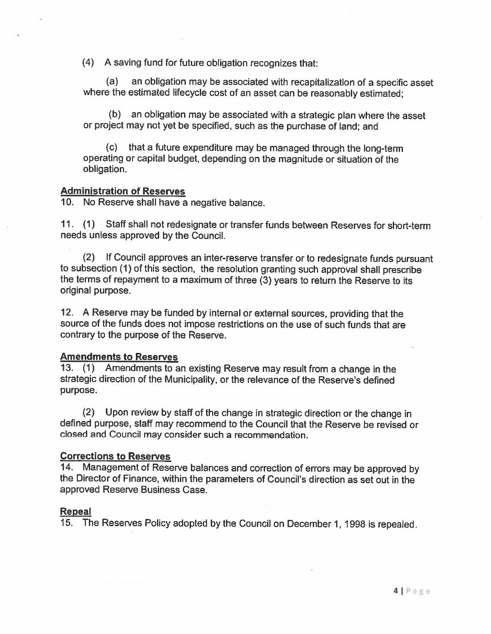(4) <sup>A</sup> saving fund for future obligation recognizes that:

(a) an obligation may be associated with recapitalization of <sup>a</sup> specific asset where the estimated lifecycle cost of an asset can be reasonably estimated;

(b) an obligation may be associated with <sup>a</sup> strategic <sup>p</sup>lan where the asset or project may not yet be specified, such as the purchase of land; and

(c) that <sup>a</sup> future expenditure may be managed through the long-term operating or capital budget, depending on the magnitude or situation of the obligation.

## Administration of Reserves

10. No Reserve shall have <sup>a</sup> negative balance.

11. (1) Staff shall not redesignate or transfer funds between Reserves for short-term needs unless approved by the Council.

(2) If Council approves an inter-reserve transfer or to redesignate funds pursuant to subsection (1) of this section, the resolution granting such approval shall prescribe the terms of repayment to <sup>a</sup> maximum of three (3) years to return the Reserve to its original purpose.

12. <sup>A</sup> Reserve may be funded by internal or external sources, providing that the source of the funds does not impose restrictions on the use of such funds that are contrary to the purpose of the Reserve.

## Amendments to Reserves

13. (1) Amendments to an existing Reserve may result from <sup>a</sup> change in the strategic direction of the Municipality, or the relevance of the Reserve's defined purpose.

(2) Upon review by staff of the change in strategic direction or the change in defined purpose, staff may recommend to the Council that the Reserve be revised or closed and Council may consider such <sup>a</sup> recommendation.

## Corrections to Reserves

14. Management of Reserve balances and correction of errors may be approved by the Director of Finance, within the parameters of Council's direction as set out in the approved Reserve Business Case.

## Repeal

15. The Reserves Policy adopted by the Council on December 1, <sup>1998</sup> is repealed.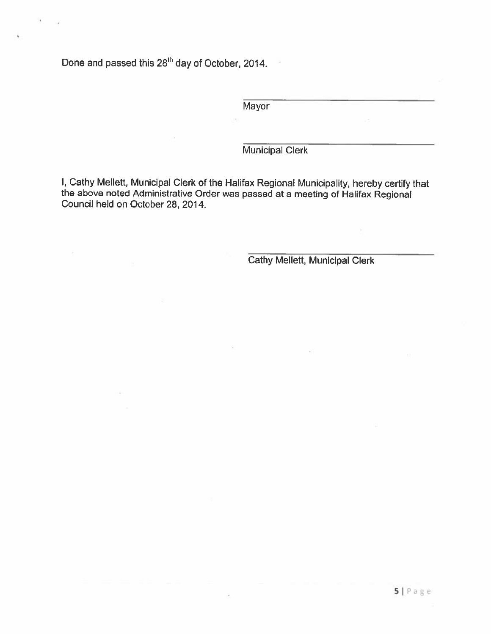Done and passed this 28<sup>th</sup> day of October, 2014.

**Mayor** 

Municipal Clerk

I, Cathy Mellett, Municipal Clerk of the Halifax Regional Municipality, hereby certify that the above noted Administrative Order was passed at <sup>a</sup> meeting of Halifax Regional Council held on October 28, 2014.

Cathy Mellett, Municipal Clerk